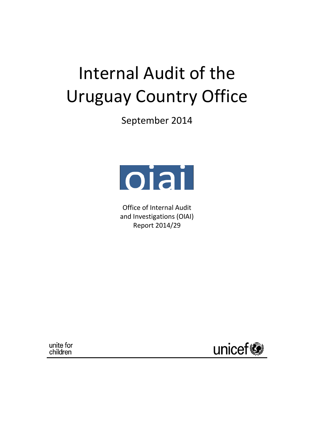# Internal Audit of the Uruguay Country Office

September 2014



Office of Internal Audit and Investigations (OIAI) Report 2014/29

unite for children

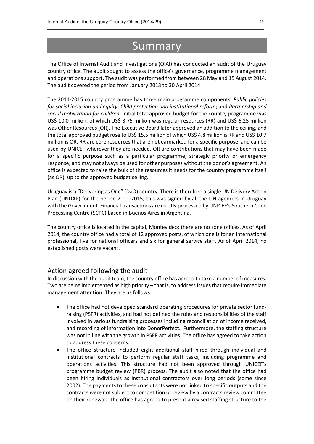# **Summary**

\_\_\_\_\_\_\_\_\_\_\_\_\_\_\_\_\_\_\_\_\_\_\_\_\_\_\_\_\_\_\_\_\_\_\_\_\_\_\_\_\_\_\_\_\_\_\_\_\_\_\_\_\_\_\_\_\_\_\_\_\_\_\_\_\_\_\_\_\_\_\_\_\_\_\_\_\_\_\_\_\_\_

The Office of Internal Audit and Investigations (OIAI) has conducted an audit of the Uruguay country office. The audit sought to assess the office's governance, programme management and operations support. The audit was performed from between 28 May and 15 August 2014. The audit covered the period from January 2013 to 30 April 2014.

The 2011-2015 country programme has three main programme components: *Public policies for social inclusion and equity*; *Child protection and institutional reform*; and *Partnership and social mobilization for children*. Initial total approved budget for the country programme was US\$ 10.0 million, of which US\$ 3.75 million was regular resources (RR) and US\$ 6.25 million was Other Resources (OR). The Executive Board later approved an addition to the ceiling, and the total approved budget rose to US\$ 15.5 million of which US\$ 4.8 million is RR and US\$ 10.7 million is OR. RR are core resources that are not earmarked for a specific purpose, and can be used by UNICEF wherever they are needed. OR are contributions that may have been made for a specific purpose such as a particular programme, strategic priority or emergency response, and may not always be used for other purposes without the donor's agreement. An office is expected to raise the bulk of the resources it needs for the country programme itself (as OR), up to the approved budget ceiling.

Uruguay is a "Delivering as One" (DaO) country. There is therefore a single UN Delivery Action Plan (UNDAP) for the period 2011-2015; this was signed by all the UN agencies in Uruguay with the Government. Financial transactions are mostly processed by UNICEF's Southern Cone Processing Centre (SCPC) based in Buenos Aires in Argentina.

The country office is located in the capital, Montevideo; there are no zone offices. As of April 2014, the country office had a total of 12 approved posts, of which one is for an international professional, five for national officers and six for general service staff. As of April 2014, no established posts were vacant.

### Action agreed following the audit

In discussion with the audit team, the country office has agreed to take a number of measures. Two are being implemented as high priority – that is, to address issues that require immediate management attention. They are as follows.

- The office had not developed standard operating procedures for private sector fundraising (PSFR) activities, and had not defined the roles and responsibilities of the staff involved in various fundraising processes including reconciliation of income received, and recording of information into DonorPerfect. Furthermore, the staffing structure was not in line with the growth in PSFR activities. The office has agreed to take action to address these concerns.
- The office structure included eight additional staff hired through individual and institutional contracts to perform regular staff tasks, including programme and operations activities. This structure had not been approved through UNICEF's programme budget review (PBR) process. The audit also noted that the office had been hiring individuals as institutional contractors over long periods (some since 2002). The payments to these consultants were not linked to specific outputs and the contracts were not subject to competition or review by a contracts review committee on their renewal. The office has agreed to present a revised staffing structure to the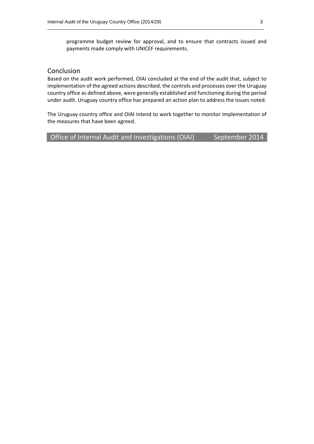programme budget review for approval, and to ensure that contracts issued and payments made comply with UNICEF requirements.

### Conclusion

Based on the audit work performed, OIAI concluded at the end of the audit that, subject to implementation of the agreed actions described, the controls and processes over the Uruguay country office as defined above, were generally established and functioning during the period under audit. Uruguay country office has prepared an action plan to address the issues noted.

\_\_\_\_\_\_\_\_\_\_\_\_\_\_\_\_\_\_\_\_\_\_\_\_\_\_\_\_\_\_\_\_\_\_\_\_\_\_\_\_\_\_\_\_\_\_\_\_\_\_\_\_\_\_\_\_\_\_\_\_\_\_\_\_\_\_\_\_\_\_\_\_\_\_\_\_\_\_\_\_\_\_

The Uruguay country office and OIAI intend to work together to monitor implementation of the measures that have been agreed.

Office of Internal Audit and Investigations (OIAI) September 2014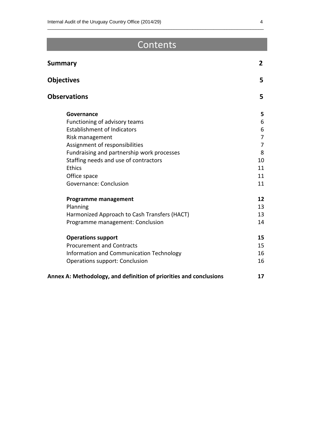# Contents

\_\_\_\_\_\_\_\_\_\_\_\_\_\_\_\_\_\_\_\_\_\_\_\_\_\_\_\_\_\_\_\_\_\_\_\_\_\_\_\_\_\_\_\_\_\_\_\_\_\_\_\_\_\_\_\_\_\_\_\_\_\_\_\_\_\_\_\_\_\_\_\_\_\_\_\_\_\_\_\_\_\_

| <b>Summary</b>                                                     | $\overline{2}$ |
|--------------------------------------------------------------------|----------------|
| <b>Objectives</b>                                                  | 5              |
| <b>Observations</b>                                                | 5              |
| Governance                                                         | 5              |
| Functioning of advisory teams                                      | 6              |
| <b>Establishment of Indicators</b>                                 | 6              |
| Risk management                                                    | $\overline{7}$ |
| Assignment of responsibilities                                     | 7              |
| Fundraising and partnership work processes                         | 8              |
| Staffing needs and use of contractors                              | 10             |
| <b>Ethics</b>                                                      | 11             |
| Office space                                                       | 11             |
| Governance: Conclusion                                             | 11             |
| <b>Programme management</b>                                        | 12             |
| Planning                                                           | 13             |
| Harmonized Approach to Cash Transfers (HACT)                       | 13             |
| Programme management: Conclusion                                   | 14             |
| <b>Operations support</b>                                          | 15             |
| <b>Procurement and Contracts</b>                                   | 15             |
| Information and Communication Technology                           | 16             |
| Operations support: Conclusion                                     | 16             |
| Annex A: Methodology, and definition of priorities and conclusions | 17             |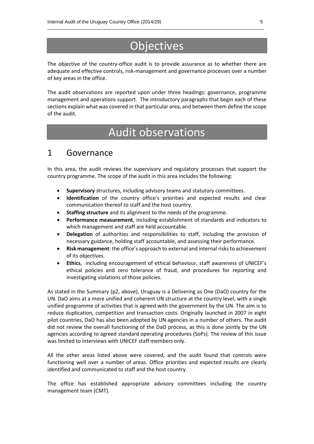# **Objectives**

\_\_\_\_\_\_\_\_\_\_\_\_\_\_\_\_\_\_\_\_\_\_\_\_\_\_\_\_\_\_\_\_\_\_\_\_\_\_\_\_\_\_\_\_\_\_\_\_\_\_\_\_\_\_\_\_\_\_\_\_\_\_\_\_\_\_\_\_\_\_\_\_\_\_\_\_\_\_\_\_\_\_

The objective of the country-office audit is to provide assurance as to whether there are adequate and effective controls, risk-management and governance processes over a number of key areas in the office.

The audit observations are reported upon under three headings: governance, programme management and operations support. The introductory paragraphs that begin each of these sections explain what was covered in that particular area, and between them define the scope of the audit.

# Audit observations

### 1 Governance

In this area, the audit reviews the supervisory and regulatory processes that support the country programme. The scope of the audit in this area includes the following:

- **Supervisory** structures, including advisory teams and statutory committees.
- **Identification** of the country office's priorities and expected results and clear communication thereof to staff and the host country.
- **Staffing structure** and its alignment to the needs of the programme.
- **Performance measurement**, including establishment of standards and indicators to which management and staff are held accountable.
- **Delegation** of authorities and responsibilities to staff, including the provision of necessary guidance, holding staff accountable, and assessing their performance.
- **Risk management**: the office's approach to external and internal risks to achievement of its objectives.
- **Ethics**, including encouragement of ethical behaviour, staff awareness of UNICEF's ethical policies and zero tolerance of fraud, and procedures for reporting and investigating violations of those policies.

As stated in the Summary (p2, above), Uruguay is a Delivering as One (DaO) country for the UN. DaO aims at a more unified and coherent UN structure at the country level, with a single unified programme of activities that is agreed with the government by the UN. The aim is to reduce duplication, competition and transaction costs. Originally launched in 2007 in eight pilot countries, DaO has also been adopted by UN agencies in a number of others. The audit did not review the overall functioning of the DaO process, as this is done jointly by the UN agencies according to agreed standard operating procedures (SoPs). The review of this issue was limited to interviews with UNICEF staff members only.

All the other areas listed above were covered, and the audit found that controls were functioning well over a number of areas. Office priorities and expected results are clearly identified and communicated to staff and the host country.

The office has established appropriate advisory committees including the country management team (CMT).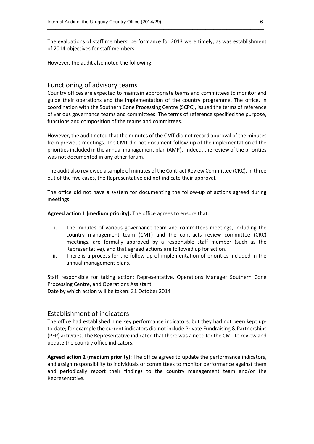The evaluations of staff members' performance for 2013 were timely, as was establishment of 2014 objectives for staff members.

\_\_\_\_\_\_\_\_\_\_\_\_\_\_\_\_\_\_\_\_\_\_\_\_\_\_\_\_\_\_\_\_\_\_\_\_\_\_\_\_\_\_\_\_\_\_\_\_\_\_\_\_\_\_\_\_\_\_\_\_\_\_\_\_\_\_\_\_\_\_\_\_\_\_\_\_\_\_\_\_\_\_

However, the audit also noted the following.

### Functioning of advisory teams

Country offices are expected to maintain appropriate teams and committees to monitor and guide their operations and the implementation of the country programme. The office, in coordination with the Southern Cone Processing Centre (SCPC), issued the terms of reference of various governance teams and committees. The terms of reference specified the purpose, functions and composition of the teams and committees.

However, the audit noted that the minutes of the CMT did not record approval of the minutes from previous meetings. The CMT did not document follow-up of the implementation of the priorities included in the annual management plan (AMP). Indeed, the review of the priorities was not documented in any other forum.

The audit also reviewed a sample of minutes of the Contract Review Committee (CRC). In three out of the five cases, the Representative did not indicate their approval.

The office did not have a system for documenting the follow-up of actions agreed during meetings.

**Agreed action 1 (medium priority):** The office agrees to ensure that:

- i. The minutes of various governance team and committees meetings, including the country management team (CMT) and the contracts review committee (CRC) meetings, are formally approved by a responsible staff member (such as the Representative), and that agreed actions are followed up for action.
- ii. There is a process for the follow-up of implementation of priorities included in the annual management plans.

Staff responsible for taking action: Representative, Operations Manager Southern Cone Processing Centre, and Operations Assistant Date by which action will be taken: 31 October 2014

### Establishment of indicators

The office had established nine key performance indicators, but they had not been kept upto-date; for example the current indicators did not include Private Fundraising & Partnerships (PFP) activities. The Representative indicated that there was a need for the CMT to review and update the country office indicators.

**Agreed action 2 (medium priority):** The office agrees to update the performance indicators, and assign responsibility to individuals or committees to monitor performance against them and periodically report their findings to the country management team and/or the Representative.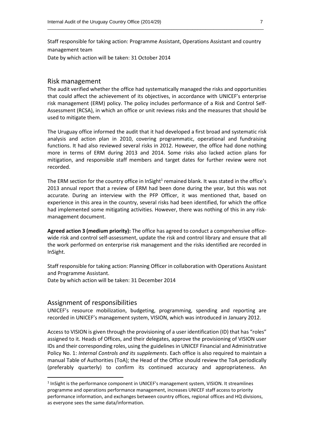Staff responsible for taking action: Programme Assistant, Operations Assistant and country management team

\_\_\_\_\_\_\_\_\_\_\_\_\_\_\_\_\_\_\_\_\_\_\_\_\_\_\_\_\_\_\_\_\_\_\_\_\_\_\_\_\_\_\_\_\_\_\_\_\_\_\_\_\_\_\_\_\_\_\_\_\_\_\_\_\_\_\_\_\_\_\_\_\_\_\_\_\_\_\_\_\_\_

Date by which action will be taken: 31 October 2014

### Risk management

The audit verified whether the office had systematically managed the risks and opportunities that could affect the achievement of its objectives, in accordance with UNICEF's enterprise risk management (ERM) policy. The policy includes performance of a Risk and Control Self-Assessment (RCSA), in which an office or unit reviews risks and the measures that should be used to mitigate them.

The Uruguay office informed the audit that it had developed a first broad and systematic risk analysis and action plan in 2010, covering programmatic, operational and fundraising functions. It had also reviewed several risks in 2012. However, the office had done nothing more in terms of ERM during 2013 and 2014. Some risks also lacked action plans for mitigation, and responsible staff members and target dates for further review were not recorded.

The ERM section for the country office in InSight<sup>1</sup> remained blank. It was stated in the office's 2013 annual report that a review of ERM had been done during the year, but this was not accurate. During an interview with the PFP Officer, it was mentioned that, based on experience in this area in the country, several risks had been identified, for which the office had implemented some mitigating activities. However, there was nothing of this in any riskmanagement document.

**Agreed action 3 (medium priority):** The office has agreed to conduct a comprehensive officewide risk and control self-assessment, update the risk and control library and ensure that all the work performed on enterprise risk management and the risks identified are recorded in InSight.

Staff responsible for taking action: Planning Officer in collaboration with Operations Assistant and Programme Assistant.

Date by which action will be taken: 31 December 2014

### Assignment of responsibilities

**.** 

UNICEF's resource mobilization, budgeting, programming, spending and reporting are recorded in UNICEF's management system, VISION, which was introduced in January 2012.

Access to VISION is given through the provisioning of a user identification (ID) that has "roles" assigned to it. Heads of Offices, and their delegates, approve the provisioning of VISION user IDs and their corresponding roles, using the guidelines in UNICEF Financial and Administrative Policy No. 1: *Internal Controls and its supplements*. Each office is also required to maintain a manual Table of Authorities (ToA); the Head of the Office should review the ToA periodically (preferably quarterly) to confirm its continued accuracy and appropriateness. An

<sup>&</sup>lt;sup>1</sup> InSight is the performance component in UNICEF's management system, VISION. It streamlines programme and operations performance management, increases UNICEF staff access to priority performance information, and exchanges between country offices, regional offices and HQ divisions, as everyone sees the same data/information.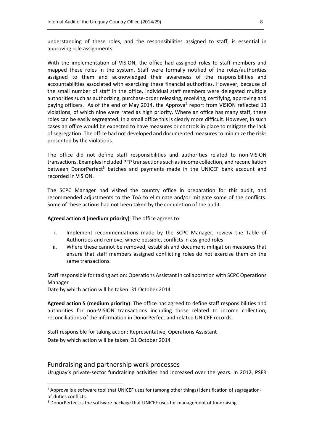understanding of these roles, and the responsibilities assigned to staff, is essential in approving role assignments.

\_\_\_\_\_\_\_\_\_\_\_\_\_\_\_\_\_\_\_\_\_\_\_\_\_\_\_\_\_\_\_\_\_\_\_\_\_\_\_\_\_\_\_\_\_\_\_\_\_\_\_\_\_\_\_\_\_\_\_\_\_\_\_\_\_\_\_\_\_\_\_\_\_\_\_\_\_\_\_\_\_\_

With the implementation of VISION, the office had assigned roles to staff members and mapped these roles in the system. Staff were formally notified of the roles/authorities assigned to them and acknowledged their awareness of the responsibilities and accountabilities associated with exercising these financial authorities. However, because of the small number of staff in the office, individual staff members were delegated multiple authorities such as authorizing, purchase-order releasing, receiving, certifying, approving and paying officers. As of the end of May 2014, the Approva<sup>2</sup> report from VISION reflected 13 violations, of which nine were rated as high priority. Where an office has many staff, these roles can be easily segregated. In a small office this is clearly more difficult. However, in such cases an office would be expected to have measures or controls in place to mitigate the lack of segregation. The office had not developed and documented measuresto minimize the risks presented by the violations.

The office did not define staff responsibilities and authorities related to non-VISION transactions. Examples included PFP transactions such asincome collection, and reconciliation between DonorPerfect<sup>3</sup> batches and payments made in the UNICEF bank account and recorded in VISION.

The SCPC Manager had visited the country office in preparation for this audit, and recommended adjustments to the ToA to eliminate and/or mitigate some of the conflicts. Some of these actions had not been taken by the completion of the audit.

**Agreed action 4 (medium priority)**: The office agrees to:

- i. Implement recommendations made by the SCPC Manager, review the Table of Authorities and remove, where possible, conflicts in assigned roles.
- ii. Where these cannot be removed, establish and document mitigation measures that ensure that staff members assigned conflicting roles do not exercise them on the same transactions.

Staff responsible for taking action: Operations Assistant in collaboration with SCPC Operations Manager

Date by which action will be taken: 31 October 2014

**Agreed action 5 (medium priority)**: The office has agreed to define staff responsibilities and authorities for non-VISION transactions including those related to income collection, reconciliations of the information in DonorPerfect and related UNICEF records.

Staff responsible for taking action: Representative, Operations Assistant Date by which action will be taken: 31 October 2014

### Fundraising and partnership work processes

**.** 

Uruguay's private-sector fundraising activities had increased over the years. In 2012, PSFR

<sup>&</sup>lt;sup>2</sup> Approva is a software tool that UNICEF uses for (among other things) identification of segregationof-duties conflicts.

<sup>3</sup> DonorPerfect is the software package that UNICEF uses for management of fundraising.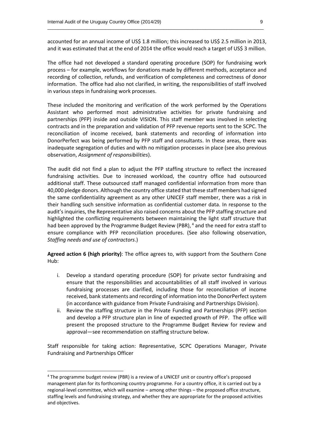accounted for an annual income of US\$ 1.8 million; this increased to US\$ 2.5 million in 2013, and it was estimated that at the end of 2014 the office would reach a target of US\$ 3 million.

\_\_\_\_\_\_\_\_\_\_\_\_\_\_\_\_\_\_\_\_\_\_\_\_\_\_\_\_\_\_\_\_\_\_\_\_\_\_\_\_\_\_\_\_\_\_\_\_\_\_\_\_\_\_\_\_\_\_\_\_\_\_\_\_\_\_\_\_\_\_\_\_\_\_\_\_\_\_\_\_\_\_

The office had not developed a standard operating procedure (SOP) for fundraising work process – for example, workflows for donations made by different methods, acceptance and recording of collection, refunds, and verification of completeness and correctness of donor information. The office had also not clarified, in writing, the responsibilities of staff involved in various steps in fundraising work processes.

These included the monitoring and verification of the work performed by the Operations Assistant who performed most administrative activities for private fundraising and partnerships (PFP) inside and outside VISION. This staff member was involved in selecting contracts and in the preparation and validation of PFP revenue reports sent to the SCPC. The reconciliation of income received, bank statements and recording of information into DonorPerfect was being performed by PFP staff and consultants. In these areas, there was inadequate segregation of duties and with no mitigation processes in place (see also previous observation, *Assignment of responsibilities*).

The audit did not find a plan to adjust the PFP staffing structure to reflect the increased fundraising activities. Due to increased workload, the country office had outsourced additional staff. These outsourced staff managed confidential information from more than 40,000 pledge donors. Although the country office stated that these staff members had signed the same confidentiality agreement as any other UNICEF staff member, there was a risk in their handling such sensitive information as confidential customer data. In response to the audit's inquiries, the Representative also raised concerns about the PFP staffing structure and highlighted the conflicting requirements between maintaining the light staff structure that had been approved by the Programme Budget Review (PBR), <sup>4</sup> and the need for extra staff to ensure compliance with PFP reconciliation procedures. (See also following observation, *Staffing needs and use of contractors*.)

**Agreed action 6 (high priority)**: The office agrees to, with support from the Southern Cone Hub:

- i. Develop a standard operating procedure (SOP) for private sector fundraising and ensure that the responsibilities and accountabilities of all staff involved in various fundraising processes are clarified, including those for reconciliation of income received, bank statements and recording of information into the DonorPerfect system (in accordance with guidance from Private Fundraising and Partnerships Division).
- ii. Review the staffing structure in the Private Funding and Partnerships (PFP) section and develop a PFP structure plan in line of expected growth of PFP. The office will present the proposed structure to the Programme Budget Review for review and approval—see recommendation on staffing structure below.

Staff responsible for taking action: Representative, SCPC Operations Manager, Private Fundraising and Partnerships Officer

 $\overline{a}$ 

<sup>4</sup> The programme budget review (PBR) is a review of a UNICEF unit or country office's proposed management plan for its forthcoming country programme. For a country office, it is carried out by a regional-level committee, which will examine – among other things – the proposed office structure, staffing levels and fundraising strategy, and whether they are appropriate for the proposed activities and objectives.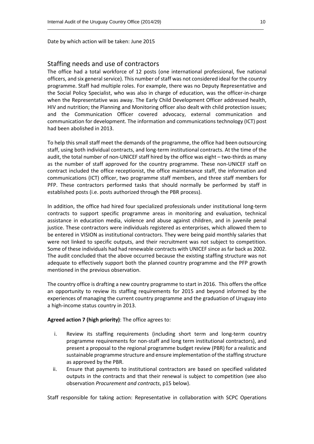Date by which action will be taken: June 2015

### Staffing needs and use of contractors

The office had a total workforce of 12 posts (one international professional, five national officers, and six general service). This number of staff was not considered ideal for the country programme. Staff had multiple roles. For example, there was no Deputy Representative and the Social Policy Specialist, who was also in charge of education, was the officer-in-charge when the Representative was away. The Early Child Development Officer addressed health, HIV and nutrition; the Planning and Monitoring officer also dealt with child protection issues; and the Communication Officer covered advocacy, external communication and communication for development. The information and communications technology (ICT) post had been abolished in 2013.

\_\_\_\_\_\_\_\_\_\_\_\_\_\_\_\_\_\_\_\_\_\_\_\_\_\_\_\_\_\_\_\_\_\_\_\_\_\_\_\_\_\_\_\_\_\_\_\_\_\_\_\_\_\_\_\_\_\_\_\_\_\_\_\_\_\_\_\_\_\_\_\_\_\_\_\_\_\_\_\_\_\_

To help this small staff meet the demands of the programme, the office had been outsourcing staff, using both individual contracts, and long-term institutional contracts. At the time of the audit, the total number of non-UNICEF staff hired by the office was eight – two-thirds as many as the number of staff approved for the country programme. These non-UNICEF staff on contract included the office receptionist, the office maintenance staff, the information and communications (ICT) officer, two programme staff members, and three staff members for PFP. These contractors performed tasks that should normally be performed by staff in established posts (i.e. posts authorized through the PBR process).

In addition, the office had hired four specialized professionals under institutional long-term contracts to support specific programme areas in monitoring and evaluation, technical assistance in education media, violence and abuse against children, and in juvenile penal justice. These contractors were individuals registered as enterprises, which allowed them to be entered in VISION as institutional contractors. They were being paid monthly salaries that were not linked to specific outputs, and their recruitment was not subject to competition. Some of these individuals had had renewable contracts with UNICEF since as far back as 2002. The audit concluded that the above occurred because the existing staffing structure was not adequate to effectively support both the planned country programme and the PFP growth mentioned in the previous observation.

The country office is drafting a new country programme to start in 2016. This offers the office an opportunity to review its staffing requirements for 2015 and beyond informed by the experiences of managing the current country programme and the graduation of Uruguay into a high-income status country in 2013.

#### **Agreed action 7 (high priority)**: The office agrees to:

- i. Review its staffing requirements (including short term and long-term country programme requirements for non-staff and long term institutional contractors), and present a proposal to the regional programme budget review (PBR) for a realistic and sustainable programme structure and ensure implementation ofthe staffing structure as approved by the PBR.
- ii. Ensure that payments to institutional contractors are based on specified validated outputs in the contracts and that their renewal is subject to competition (see also observation *Procurement and contracts*, p15 below).

Staff responsible for taking action: Representative in collaboration with SCPC Operations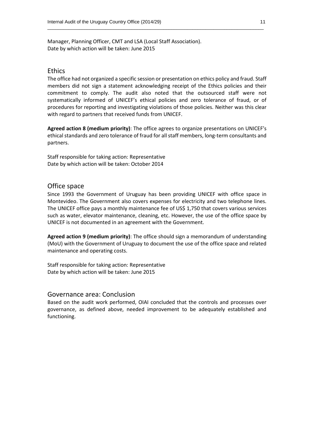Manager, Planning Officer, CMT and LSA (Local Staff Association). Date by which action will be taken: June 2015

### Ethics

The office had not organized a specific session or presentation on ethics policy and fraud. Staff members did not sign a statement acknowledging receipt of the Ethics policies and their commitment to comply. The audit also noted that the outsourced staff were not systematically informed of UNICEF's ethical policies and zero tolerance of fraud, or of procedures for reporting and investigating violations of those policies. Neither was this clear with regard to partners that received funds from UNICEF.

\_\_\_\_\_\_\_\_\_\_\_\_\_\_\_\_\_\_\_\_\_\_\_\_\_\_\_\_\_\_\_\_\_\_\_\_\_\_\_\_\_\_\_\_\_\_\_\_\_\_\_\_\_\_\_\_\_\_\_\_\_\_\_\_\_\_\_\_\_\_\_\_\_\_\_\_\_\_\_\_\_\_

**Agreed action 8 (medium priority)**: The office agrees to organize presentations on UNICEF's ethical standards and zero tolerance of fraud for all staff members, long-term consultants and partners.

Staff responsible for taking action: Representative Date by which action will be taken: October 2014

### Office space

Since 1993 the Government of Uruguay has been providing UNICEF with office space in Montevideo. The Government also covers expenses for electricity and two telephone lines. The UNICEF office pays a monthly maintenance fee of US\$ 1,750 that covers various services such as water, elevator maintenance, cleaning, etc. However, the use of the office space by UNICEF is not documented in an agreement with the Government.

**Agreed action 9 (medium priority)**: The office should sign a memorandum of understanding (MoU) with the Government of Uruguay to document the use of the office space and related maintenance and operating costs.

Staff responsible for taking action: Representative Date by which action will be taken: June 2015

#### Governance area: Conclusion

Based on the audit work performed, OIAI concluded that the controls and processes over governance, as defined above, needed improvement to be adequately established and functioning.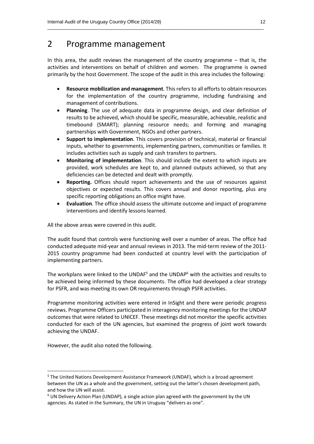### 2 Programme management

In this area, the audit reviews the management of the country programme – that is, the activities and interventions on behalf of children and women. The programme is owned primarily by the host Government. The scope of the audit in this area includes the following:

\_\_\_\_\_\_\_\_\_\_\_\_\_\_\_\_\_\_\_\_\_\_\_\_\_\_\_\_\_\_\_\_\_\_\_\_\_\_\_\_\_\_\_\_\_\_\_\_\_\_\_\_\_\_\_\_\_\_\_\_\_\_\_\_\_\_\_\_\_\_\_\_\_\_\_\_\_\_\_\_\_\_

- **Resource mobilization and management**. This refers to all efforts to obtain resources for the implementation of the country programme, including fundraising and management of contributions.
- **Planning**. The use of adequate data in programme design, and clear definition of results to be achieved, which should be specific, measurable, achievable, realistic and timebound (SMART); planning resource needs; and forming and managing partnerships with Government, NGOs and other partners.
- **Support to implementation**. This covers provision of technical, material or financial inputs, whether to governments, implementing partners, communities or families. It includes activities such as supply and cash transfers to partners.
- **Monitoring of implementation**. This should include the extent to which inputs are provided, work schedules are kept to, and planned outputs achieved, so that any deficiencies can be detected and dealt with promptly.
- **Reporting.** Offices should report achievements and the use of resources against objectives or expected results. This covers annual and donor reporting, plus any specific reporting obligations an office might have.
- **Evaluation**. The office should assess the ultimate outcome and impact of programme interventions and identify lessons learned.

All the above areas were covered in this audit.

The audit found that controls were functioning well over a number of areas. The office had conducted adequate mid-year and annual reviews in 2013. The mid-term review of the 2011- 2015 country programme had been conducted at country level with the participation of implementing partners.

The workplans were linked to the UNDAF<sup>5</sup> and the UNDAP<sup>6</sup> with the activities and results to be achieved being informed by these documents. The office had developed a clear strategy for PSFR, and was meeting its own OR requirements through PSFR activities.

Programme monitoring activities were entered in InSight and there were periodic progress reviews. Programme Officers participated in interagency monitoring meetings for the UNDAP outcomes that were related to UNICEF. These meetings did not monitor the specific activities conducted for each of the UN agencies, but examined the progress of joint work towards achieving the UNDAF.

However, the audit also noted the following.

 $\overline{a}$ 

<sup>&</sup>lt;sup>5</sup> The United Nations Development Assistance Framework (UNDAF), which is a broad agreement between the UN as a whole and the government, setting out the latter's chosen development path, and how the UN will assist.

 $6$  UN Delivery Action Plan (UNDAP), a single action plan agreed with the government by the UN agencies. As stated in the Summary, the UN in Uruguay "delivers as one".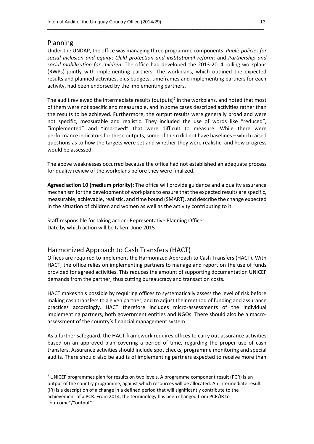### Planning

 $\overline{a}$ 

Under the UNDAP, the office was managing three programme components: *Public policies for social inclusion and equity*; *Child protection and institutional reform*; and *Partnership and social mobilization for children*. The office had developed the 2013-2014 rolling workplans (RWPs) jointly with implementing partners. The workplans, which outlined the expected results and planned activities, plus budgets, timeframes and implementing partners for each activity, had been endorsed by the implementing partners.

\_\_\_\_\_\_\_\_\_\_\_\_\_\_\_\_\_\_\_\_\_\_\_\_\_\_\_\_\_\_\_\_\_\_\_\_\_\_\_\_\_\_\_\_\_\_\_\_\_\_\_\_\_\_\_\_\_\_\_\_\_\_\_\_\_\_\_\_\_\_\_\_\_\_\_\_\_\_\_\_\_\_

The audit reviewed the intermediate results (outputs)<sup>7</sup> in the workplans, and noted that most of them were not specific and measurable, and in some cases described activities rather than the results to be achieved. Furthermore, the output results were generally broad and were not specific, measurable and realistic. They included the use of words like "reduced", "implemented" and "improved" that were difficult to measure. While there were performance indicators for these outputs, some of them did not have baselines – which raised questions as to how the targets were set and whether they were realistic, and how progress would be assessed.

The above weaknesses occurred because the office had not established an adequate process for quality review of the workplans before they were finalized.

**Agreed action 10 (medium priority):** The office will provide guidance and a quality assurance mechanism for the development of workplans to ensure that the expected results are specific, measurable, achievable, realistic, and time bound (SMART), and describe the change expected in the situation of children and women as well as the activity contributing to it.

Staff responsible for taking action: Representative Planning Officer Date by which action will be taken: June 2015

### Harmonized Approach to Cash Transfers (HACT)

Offices are required to implement the Harmonized Approach to Cash Transfers (HACT). With HACT, the office relies on implementing partners to manage and report on the use of funds provided for agreed activities. This reduces the amount of supporting documentation UNICEF demands from the partner, thus cutting bureaucracy and transaction costs.

HACT makes this possible by requiring offices to systematically assess the level of risk before making cash transfers to a given partner, and to adjust their method of funding and assurance practices accordingly. HACT therefore includes micro-assessments of the individual implementing partners, both government entities and NGOs. There should also be a macroassessment of the country's financial management system.

As a further safeguard, the HACT framework requires offices to carry out assurance activities based on an approved plan covering a period of time, regarding the proper use of cash transfers. Assurance activities should include spot checks, programme monitoring and special audits. There should also be audits of implementing partners expected to receive more than

 $<sup>7</sup>$  UNICEF programmes plan for results on two levels. A programme component result (PCR) is an</sup> output of the country programme, against which resources will be allocated. An intermediate result (IR) is a description of a change in a defined period that will significantly contribute to the achievement of a PCR. From 2014, the terminology has been changed from PCR/IR to "outcome"/"output".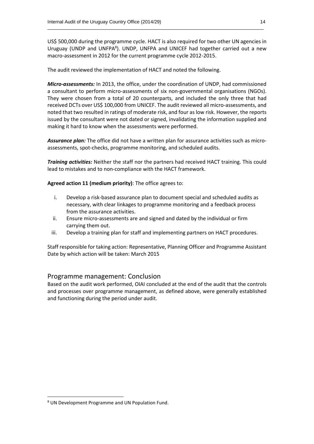US\$ 500,000 during the programme cycle. HACT is also required for two other UN agencies in Uruguay (UNDP and UNFPA<sup>8</sup>). UNDP, UNFPA and UNICEF had together carried out a new macro-assessment in 2012 for the current programme cycle 2012-2015.

\_\_\_\_\_\_\_\_\_\_\_\_\_\_\_\_\_\_\_\_\_\_\_\_\_\_\_\_\_\_\_\_\_\_\_\_\_\_\_\_\_\_\_\_\_\_\_\_\_\_\_\_\_\_\_\_\_\_\_\_\_\_\_\_\_\_\_\_\_\_\_\_\_\_\_\_\_\_\_\_\_\_

The audit reviewed the implementation of HACT and noted the following.

*Micro‐assessments:* In 2013, the office, under the coordination of UNDP, had commissioned a consultant to perform micro-assessments of six non-governmental organisations (NGOs). They were chosen from a total of 20 counterparts, and included the only three that had received DCTs over US\$ 100,000 from UNICEF. The audit reviewed all micro-assessments, and noted that two resulted in ratings of moderate risk, and four as low risk. However, the reports issued by the consultant were not dated or signed, invalidating the information supplied and making it hard to know when the assessments were performed.

*Assurance plan:* The office did not have a written plan for assurance activities such as microassessments, spot-checks, programme monitoring, and scheduled audits.

*Training activities:* Neither the staff nor the partners had received HACT training. This could lead to mistakes and to non-compliance with the HACT framework.

**Agreed action 11 (medium priority)**: The office agrees to:

- i. Develop a risk-based assurance plan to document special and scheduled audits as necessary, with clear linkages to programme monitoring and a feedback process from the assurance activities.
- ii. Ensure micro-assessments are and signed and dated by the individual or firm carrying them out.
- iii. Develop a training plan for staff and implementing partners on HACT procedures.

Staff responsible for taking action: Representative, Planning Officer and Programme Assistant Date by which action will be taken: March 2015

### Programme management: Conclusion

Based on the audit work performed, OIAI concluded at the end of the audit that the controls and processes over programme management, as defined above, were generally established and functioning during the period under audit.

**.** 

<sup>8</sup> UN Development Programme and UN Population Fund.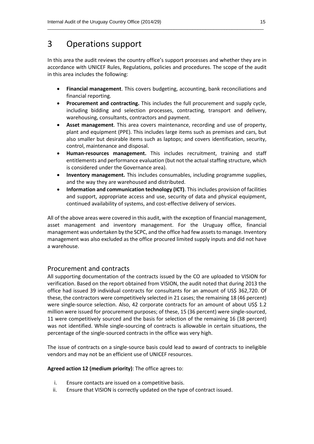### 3 Operations support

In this area the audit reviews the country office's support processes and whether they are in accordance with UNICEF Rules, Regulations, policies and procedures. The scope of the audit in this area includes the following:

\_\_\_\_\_\_\_\_\_\_\_\_\_\_\_\_\_\_\_\_\_\_\_\_\_\_\_\_\_\_\_\_\_\_\_\_\_\_\_\_\_\_\_\_\_\_\_\_\_\_\_\_\_\_\_\_\_\_\_\_\_\_\_\_\_\_\_\_\_\_\_\_\_\_\_\_\_\_\_\_\_\_

- **Financial management**. This covers budgeting, accounting, bank reconciliations and financial reporting.
- **Procurement and contracting.** This includes the full procurement and supply cycle, including bidding and selection processes, contracting, transport and delivery, warehousing, consultants, contractors and payment.
- **Asset management**. This area covers maintenance, recording and use of property, plant and equipment (PPE). This includes large items such as premises and cars, but also smaller but desirable items such as laptops; and covers identification, security, control, maintenance and disposal.
- **Human-resources management.** This includes recruitment, training and staff entitlements and performance evaluation (but not the actual staffing structure, which is considered under the Governance area).
- **Inventory management.** This includes consumables, including programme supplies, and the way they are warehoused and distributed.
- **Information and communication technology (ICT)**. This includes provision of facilities and support, appropriate access and use, security of data and physical equipment, continued availability of systems, and cost-effective delivery of services.

All of the above areas were covered in this audit, with the exception of financial management, asset management and inventory management. For the Uruguay office, financial management was undertaken by the SCPC, and the office had few assets to manage. Inventory management was also excluded as the office procured limited supply inputs and did not have a warehouse.

### Procurement and contracts

All supporting documentation of the contracts issued by the CO are uploaded to VISION for verification. Based on the report obtained from VISION, the audit noted that during 2013 the office had issued 39 individual contracts for consultants for an amount of US\$ 362,720. Of these, the contractors were competitively selected in 21 cases; the remaining 18 (46 percent) were single-source selection. Also, 42 corporate contracts for an amount of about US\$ 1.2 million were issued for procurement purposes; of these, 15 (36 percent) were single-sourced, 11 were competitively sourced and the basis for selection of the remaining 16 (38 percent) was not identified. While single-sourcing of contracts is allowable in certain situations, the percentage of the single-sourced contracts in the office was very high.

The issue of contracts on a single-source basis could lead to award of contracts to ineligible vendors and may not be an efficient use of UNICEF resources.

**Agreed action 12 (medium priority)**: The office agrees to:

- i. Ensure contacts are issued on a competitive basis.
- ii. Ensure that VISION is correctly updated on the type of contract issued.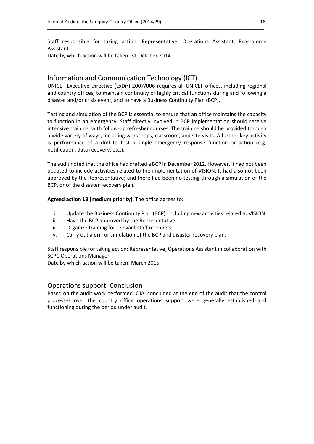Staff responsible for taking action: Representative, Operations Assistant, Programme Assistant

\_\_\_\_\_\_\_\_\_\_\_\_\_\_\_\_\_\_\_\_\_\_\_\_\_\_\_\_\_\_\_\_\_\_\_\_\_\_\_\_\_\_\_\_\_\_\_\_\_\_\_\_\_\_\_\_\_\_\_\_\_\_\_\_\_\_\_\_\_\_\_\_\_\_\_\_\_\_\_\_\_\_

Date by which action will be taken: 31 October 2014

### Information and Communication Technology (ICT)

UNICEF Executive Directive (ExDir) 2007/006 requires all UNICEF offices, including regional and country offices, to maintain continuity of highly critical functions during and following a disaster and/or crisis event, and to have a Business Continuity Plan (BCP).

Testing and simulation of the BCP is essential to ensure that an office maintains the capacity to function in an emergency. Staff directly involved in BCP implementation should receive intensive training, with follow-up refresher courses. The training should be provided through a wide variety of ways, including workshops, classroom, and site visits. A further key activity is performance of a drill to test a single emergency response function or action (e.g. notification, data recovery, etc.).

The audit noted that the office had drafted a BCP in December 2012. However, it had not been updated to include activities related to the implementation of VISION. It had also not been approved by the Representative; and there had been no testing through a simulation of the BCP, or of the disaster recovery plan.

**Agreed action 13 (medium priority)**: The office agrees to:

- i. Update the Business Continuity Plan (BCP), including new activities related to VISION.
- ii. Have the BCP approved by the Representative.
- iii. Organize training for relevant staff members.
- iv. Carry out a drill or simulation of the BCP and disaster recovery plan.

Staff responsible for taking action: Representative, Operations Assistant in collaboration with SCPC Operations Manager.

Date by which action will be taken: March 2015

### Operations support: Conclusion

Based on the audit work performed, OIAI concluded at the end of the audit that the control processes over the country office operations support were generally established and functioning during the period under audit.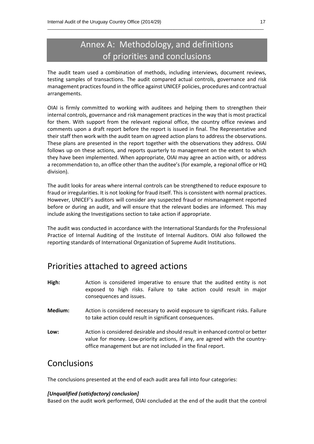## Annex A: Methodology, and definitions of priorities and conclusions

\_\_\_\_\_\_\_\_\_\_\_\_\_\_\_\_\_\_\_\_\_\_\_\_\_\_\_\_\_\_\_\_\_\_\_\_\_\_\_\_\_\_\_\_\_\_\_\_\_\_\_\_\_\_\_\_\_\_\_\_\_\_\_\_\_\_\_\_\_\_\_\_\_\_\_\_\_\_\_\_\_\_

The audit team used a combination of methods, including interviews, document reviews, testing samples of transactions. The audit compared actual controls, governance and risk management practices found in the office against UNICEF policies, procedures and contractual arrangements.

OIAI is firmly committed to working with auditees and helping them to strengthen their internal controls, governance and risk management practices in the way that is most practical for them. With support from the relevant regional office, the country office reviews and comments upon a draft report before the report is issued in final. The Representative and their staff then work with the audit team on agreed action plans to address the observations. These plans are presented in the report together with the observations they address. OIAI follows up on these actions, and reports quarterly to management on the extent to which they have been implemented. When appropriate, OIAI may agree an action with, or address a recommendation to, an office other than the auditee's (for example, a regional office or HQ division).

The audit looks for areas where internal controls can be strengthened to reduce exposure to fraud or irregularities. It is not looking for fraud itself. This is consistent with normal practices. However, UNICEF's auditors will consider any suspected fraud or mismanagement reported before or during an audit, and will ensure that the relevant bodies are informed. This may include asking the Investigations section to take action if appropriate.

The audit was conducted in accordance with the International Standards for the Professional Practice of Internal Auditing of the Institute of Internal Auditors. OIAI also followed the reporting standards of International Organization of Supreme Audit Institutions.

### Priorities attached to agreed actions

- **High:** Action is considered imperative to ensure that the audited entity is not exposed to high risks. Failure to take action could result in major consequences and issues.
- **Medium:** Action is considered necessary to avoid exposure to significant risks. Failure to take action could result in significant consequences.
- **Low:** Action is considered desirable and should result in enhanced control or better value for money. Low-priority actions, if any, are agreed with the countryoffice management but are not included in the final report.

### **Conclusions**

The conclusions presented at the end of each audit area fall into four categories:

### *[Unqualified (satisfactory) conclusion]*

Based on the audit work performed, OIAI concluded at the end of the audit that the control